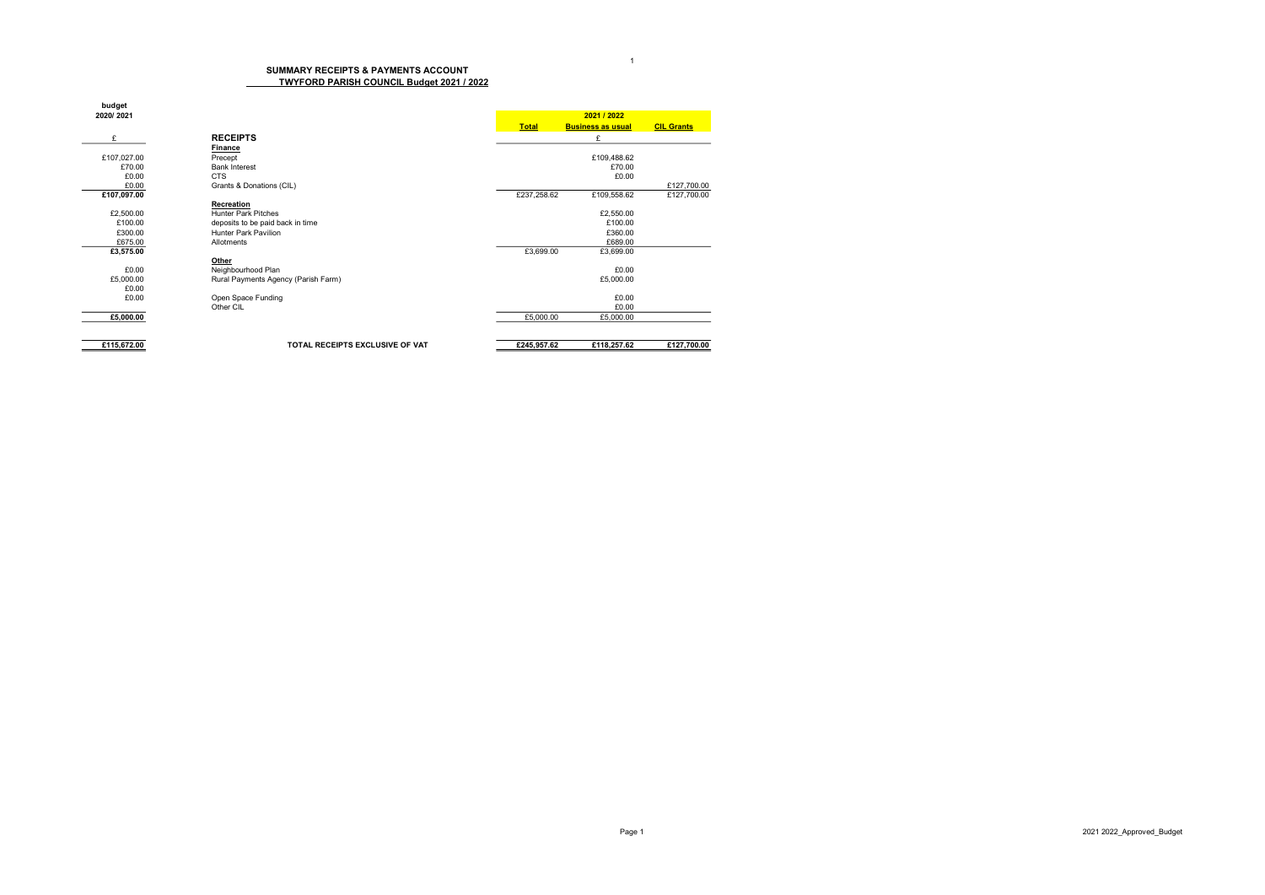## SUMMARY RECEIPTS & PAYMENTS ACCOUNT TWYFORD PARISH COUNCIL Budget 2021 / 2022

| budget      |                                     |              |                          |                   |  |
|-------------|-------------------------------------|--------------|--------------------------|-------------------|--|
| 2020/2021   |                                     |              | 2021 / 2022              |                   |  |
|             |                                     | <b>Total</b> | <b>Business as usual</b> | <b>CIL Grants</b> |  |
| £           | <b>RECEIPTS</b>                     |              | £                        |                   |  |
|             | Finance                             |              |                          |                   |  |
| £107,027.00 | Precept                             |              | £109,488.62              |                   |  |
| £70.00      | <b>Bank Interest</b>                |              | £70.00                   |                   |  |
| £0.00       | <b>CTS</b>                          |              | £0.00                    |                   |  |
| £0.00       | Grants & Donations (CIL)            |              |                          | £127,700.00       |  |
| £107,097.00 |                                     | £237,258.62  | £109,558.62              | £127,700.00       |  |
|             | <b>Recreation</b>                   |              |                          |                   |  |
| £2,500.00   | <b>Hunter Park Pitches</b>          |              | £2,550.00                |                   |  |
| £100.00     | deposits to be paid back in time    |              | £100.00                  |                   |  |
| £300.00     | Hunter Park Pavilion                |              | £360.00                  |                   |  |
| £675.00     | Allotments                          |              | £689.00                  |                   |  |
| £3,575.00   |                                     | £3,699.00    | £3,699.00                |                   |  |
|             | Other                               |              |                          |                   |  |
| £0.00       | Neighbourhood Plan                  |              | £0.00                    |                   |  |
| £5,000.00   | Rural Payments Agency (Parish Farm) |              | £5,000.00                |                   |  |
| £0.00       |                                     |              |                          |                   |  |
| £0.00       | Open Space Funding                  |              | £0.00                    |                   |  |
|             | Other CIL                           |              | £0.00                    |                   |  |
| £5,000.00   |                                     | £5,000.00    | £5,000.00                |                   |  |
|             |                                     |              |                          |                   |  |
| £115,672.00 | TOTAL RECEIPTS EXCLUSIVE OF VAT     | £245,957.62  | £118,257.62              | £127,700.00       |  |

1